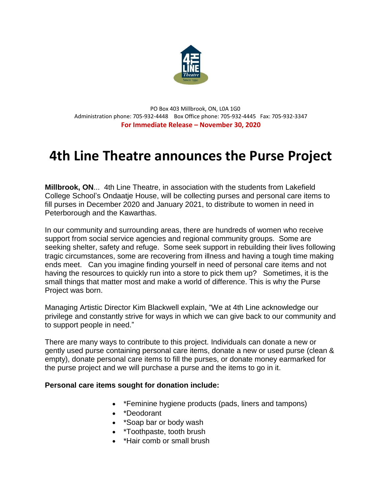

 PO Box 403 Millbrook, ON, L0A 1G0 Administration phone: 705-932-4448 Box Office phone: 705-932-4445 Fax: 705-932-3347 **For Immediate Release – November 30, 2020**

## **4th Line Theatre announces the Purse Project**

**Millbrook, ON**... 4th Line Theatre, in association with the students from Lakefield College School's Ondaatje House, will be collecting purses and personal care items to fill purses in December 2020 and January 2021, to distribute to women in need in Peterborough and the Kawarthas.

In our community and surrounding areas, there are hundreds of women who receive support from social service agencies and regional community groups. Some are seeking shelter, safety and refuge. Some seek support in rebuilding their lives following tragic circumstances, some are recovering from illness and having a tough time making ends meet. Can you imagine finding yourself in need of personal care items and not having the resources to quickly run into a store to pick them up? Sometimes, it is the small things that matter most and make a world of difference. This is why the Purse Project was born.

Managing Artistic Director Kim Blackwell explain, "We at 4th Line acknowledge our privilege and constantly strive for ways in which we can give back to our community and to support people in need."

There are many ways to contribute to this project. Individuals can donate a new or gently used purse containing personal care items, donate a new or used purse (clean & empty), donate personal care items to fill the purses, or donate money earmarked for the purse project and we will purchase a purse and the items to go in it.

## **Personal care items sought for donation include:**

- \*Feminine hygiene products (pads, liners and tampons)
- \*Deodorant
- \*Soap bar or body wash
- \*Toothpaste, tooth brush
- \*Hair comb or small brush